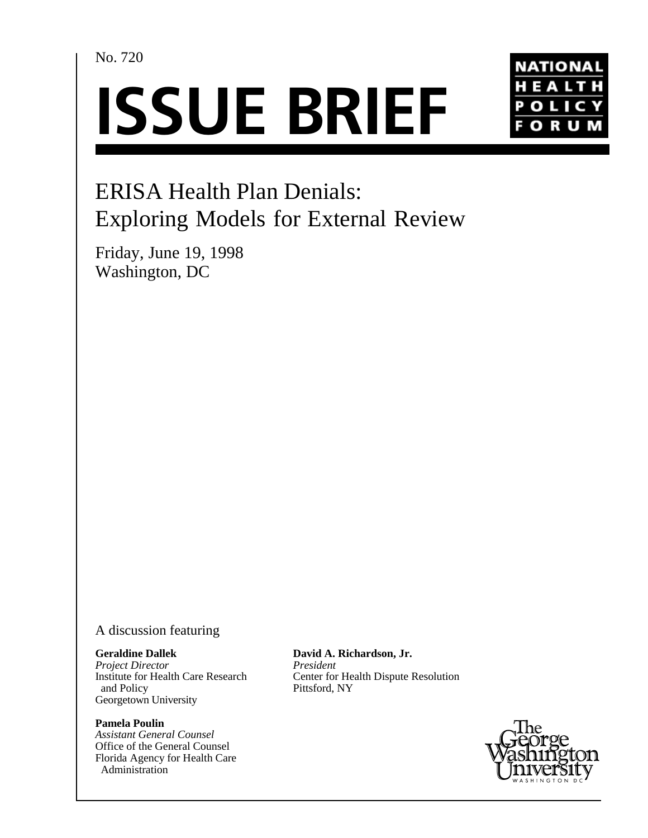No. 720





# ERISA Health Plan Denials: Exploring Models for External Review

Friday, June 19, 1998 Washington, DC

### A discussion featuring

#### **Geraldine Dallek**

*Project Director* Institute for Health Care Research and Policy Georgetown University

#### **Pamela Poulin**

*Assistant General Counsel* Office of the General Counsel Florida Agency for Health Care Administration

**David A. Richardson, Jr.** *President* Center for Health Dispute Resolution Pittsford, NY

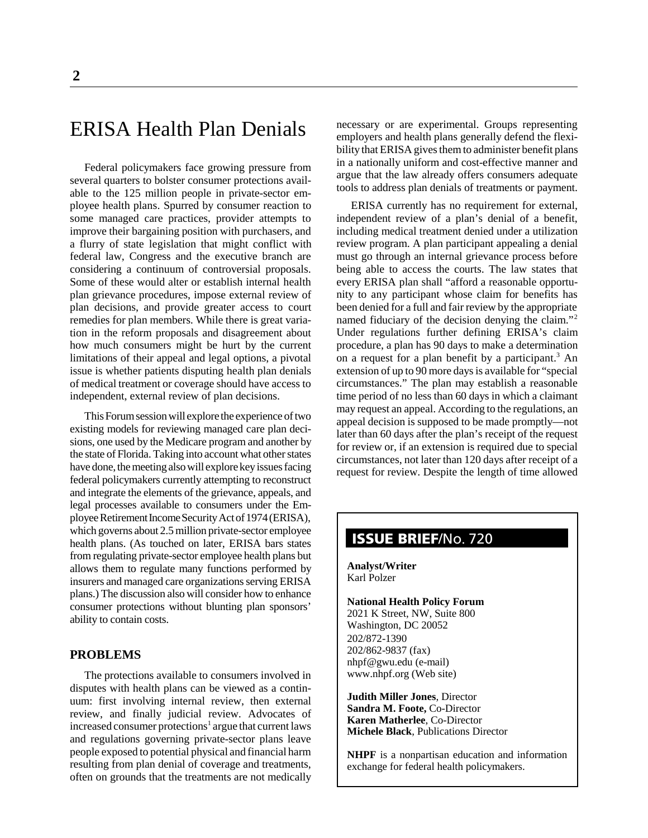# ERISA Health Plan Denials

Federal policymakers face growing pressure from several quarters to bolster consumer protections available to the 125 million people in private-sector employee health plans. Spurred by consumer reaction to some managed care practices, provider attempts to improve their bargaining position with purchasers, and a flurry of state legislation that might conflict with federal law, Congress and the executive branch are considering a continuum of controversial proposals. Some of these would alter or establish internal health plan grievance procedures, impose external review of plan decisions, and provide greater access to court remedies for plan members. While there is great variation in the reform proposals and disagreement about how much consumers might be hurt by the current limitations of their appeal and legal options, a pivotal issue is whether patients disputing health plan denials of medical treatment or coverage should have access to independent, external review of plan decisions.

This Forum session will explore the experience of two existing models for reviewing managed care plan decisions, one used by the Medicare program and another by the state of Florida. Taking into account what other states have done, the meeting also will explore key issues facing federal policymakers currently attempting to reconstruct and integrate the elements of the grievance, appeals, and legal processes available to consumers under the Employee Retirement Income Security Act of 1974 (ERISA), which governs about 2.5 million private-sector employee health plans. (As touched on later, ERISA bars states from regulating private-sector employee health plans but allows them to regulate many functions performed by insurers and managed care organizations serving ERISA plans.) The discussion also will consider how to enhance consumer protections without blunting plan sponsors' ability to contain costs.

#### **PROBLEMS**

The protections available to consumers involved in disputes with health plans can be viewed as a continuum: first involving internal review, then external review, and finally judicial review. Advocates of increased consumer protections<sup>1</sup> argue that current laws and regulations governing private-sector plans leave people exposed to potential physical and financial harm resulting from plan denial of coverage and treatments, often on grounds that the treatments are not medically necessary or are experimental. Groups representing employers and health plans generally defend the flexibility that ERISA gives them to administer benefit plans in a nationally uniform and cost-effective manner and argue that the law already offers consumers adequate tools to address plan denials of treatments or payment.

ERISA currently has no requirement for external, independent review of a plan's denial of a benefit, including medical treatment denied under a utilization review program. A plan participant appealing a denial must go through an internal grievance process before being able to access the courts. The law states that every ERISA plan shall "afford a reasonable opportunity to any participant whose claim for benefits has been denied for a full and fair review by the appropriate named fiduciary of the decision denying the claim."<sup>2</sup> Under regulations further defining ERISA's claim procedure, a plan has 90 days to make a determination on a request for a plan benefit by a participant.<sup>3</sup> An extension of up to 90 more days is available for "special circumstances." The plan may establish a reasonable time period of no less than 60 days in which a claimant may request an appeal. According to the regulations, an appeal decision is supposed to be made promptly—not later than 60 days after the plan's receipt of the request for review or, if an extension is required due to special circumstances, not later than 120 days after receipt of a request for review. Despite the length of time allowed

## **ISSUE BRIEF**/No. 720

**Analyst/Writer** Karl Polzer

**National Health Policy Forum** 2021 K Street, NW, Suite 800 Washington, DC 20052 202/872-1390 202/862-9837 (fax) nhpf@gwu.edu (e-mail)

www.nhpf.org (Web site) **Judith Miller Jones**, Director

**Sandra M. Foote,** Co-Director **Karen Matherlee**, Co-Director **Michele Black**, Publications Director

**NHPF** is a nonpartisan education and information exchange for federal health policymakers.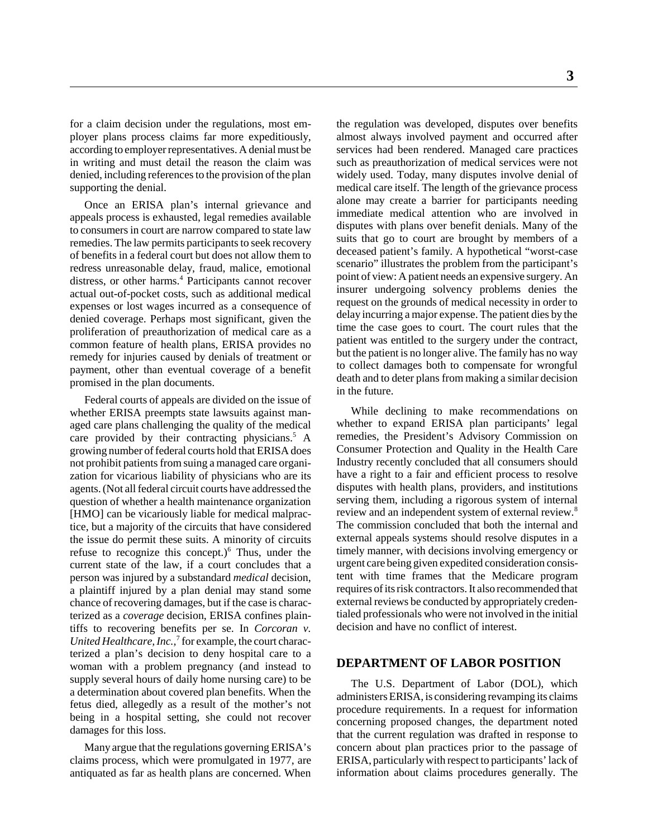for a claim decision under the regulations, most employer plans process claims far more expeditiously, according to employer representatives. A denial must be in writing and must detail the reason the claim was denied, including references to the provision of the plan supporting the denial.

Once an ERISA plan's internal grievance and appeals process is exhausted, legal remedies available to consumers in court are narrow compared to state law remedies. The law permits participants to seek recovery of benefits in a federal court but does not allow them to redress unreasonable delay, fraud, malice, emotional distress, or other harms.<sup>4</sup> Participants cannot recover actual out-of-pocket costs, such as additional medical expenses or lost wages incurred as a consequence of denied coverage. Perhaps most significant, given the proliferation of preauthorization of medical care as a common feature of health plans, ERISA provides no remedy for injuries caused by denials of treatment or payment, other than eventual coverage of a benefit promised in the plan documents.

Federal courts of appeals are divided on the issue of whether ERISA preempts state lawsuits against managed care plans challenging the quality of the medical care provided by their contracting physicians.<sup>5</sup> A growing number of federal courts hold that ERISA does not prohibit patients from suing a managed care organization for vicarious liability of physicians who are its agents. (Not all federal circuit courts have addressed the question of whether a health maintenance organization [HMO] can be vicariously liable for medical malpractice, but a majority of the circuits that have considered the issue do permit these suits. A minority of circuits refuse to recognize this concept.) $6$  Thus, under the current state of the law, if a court concludes that a person was injured by a substandard *medical* decision, a plaintiff injured by a plan denial may stand some chance of recovering damages, but if the case is characterized as a *coverage* decision, ERISA confines plaintiffs to recovering benefits per se. In *Corcoran v.* United Healthcare, Inc.,<sup>7</sup> for example, the court characterized a plan's decision to deny hospital care to a woman with a problem pregnancy (and instead to supply several hours of daily home nursing care) to be a determination about covered plan benefits. When the fetus died, allegedly as a result of the mother's not being in a hospital setting, she could not recover damages for this loss.

Many argue that the regulations governing ERISA's claims process, which were promulgated in 1977, are antiquated as far as health plans are concerned. When

the regulation was developed, disputes over benefits almost always involved payment and occurred after services had been rendered. Managed care practices such as preauthorization of medical services were not widely used. Today, many disputes involve denial of medical care itself. The length of the grievance process alone may create a barrier for participants needing immediate medical attention who are involved in disputes with plans over benefit denials. Many of the suits that go to court are brought by members of a deceased patient's family. A hypothetical "worst-case scenario" illustrates the problem from the participant's point of view: A patient needs an expensive surgery. An insurer undergoing solvency problems denies the request on the grounds of medical necessity in order to delay incurring a major expense. The patient dies by the time the case goes to court. The court rules that the patient was entitled to the surgery under the contract, but the patient is no longer alive. The family has no way to collect damages both to compensate for wrongful death and to deter plans from making a similar decision in the future.

While declining to make recommendations on whether to expand ERISA plan participants' legal remedies, the President's Advisory Commission on Consumer Protection and Quality in the Health Care Industry recently concluded that all consumers should have a right to a fair and efficient process to resolve disputes with health plans, providers, and institutions serving them, including a rigorous system of internal review and an independent system of external review.<sup>8</sup> The commission concluded that both the internal and external appeals systems should resolve disputes in a timely manner, with decisions involving emergency or urgent care being given expedited consideration consistent with time frames that the Medicare program requires of its risk contractors. It also recommended that external reviews be conducted by appropriately credentialed professionals who were not involved in the initial decision and have no conflict of interest.

#### **DEPARTMENT OF LABOR POSITION**

The U.S. Department of Labor (DOL), which administers ERISA, is considering revamping its claims procedure requirements. In a request for information concerning proposed changes, the department noted that the current regulation was drafted in response to concern about plan practices prior to the passage of ERISA, particularly with respect to participants' lack of information about claims procedures generally. The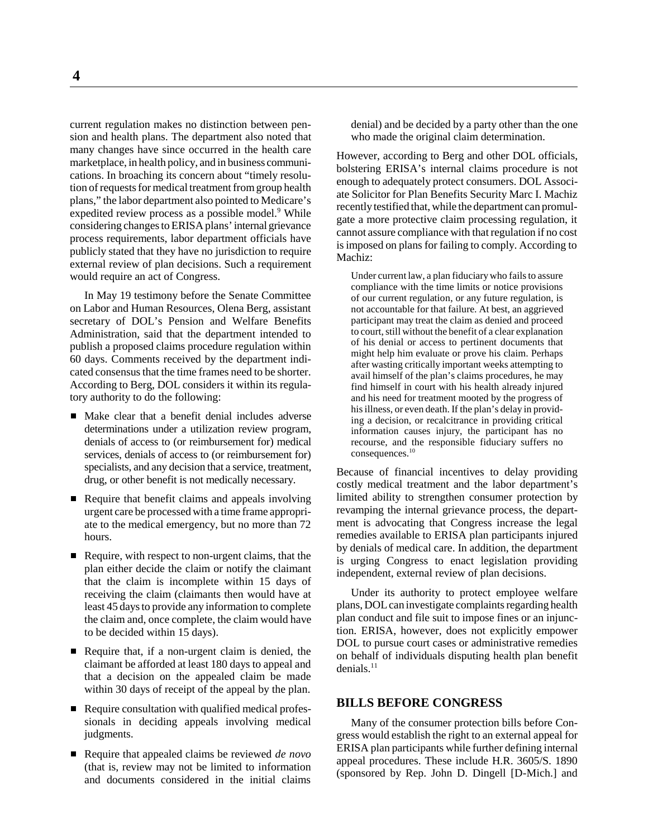current regulation makes no distinction between pension and health plans. The department also noted that many changes have since occurred in the health care marketplace, in health policy, and in business communications. In broaching its concern about "timely resolution of requests for medical treatment from group health plans," the labor department also pointed to Medicare's expedited review process as a possible model.<sup>9</sup> While considering changes to ERISA plans' internal grievance process requirements, labor department officials have publicly stated that they have no jurisdiction to require external review of plan decisions. Such a requirement would require an act of Congress.

In May 19 testimony before the Senate Committee on Labor and Human Resources, Olena Berg, assistant secretary of DOL's Pension and Welfare Benefits Administration, said that the department intended to publish a proposed claims procedure regulation within 60 days. Comments received by the department indicated consensus that the time frames need to be shorter. According to Berg, DOL considers it within its regulatory authority to do the following:

- Make clear that a benefit denial includes adverse determinations under a utilization review program, denials of access to (or reimbursement for) medical services, denials of access to (or reimbursement for) specialists, and any decision that a service, treatment, drug, or other benefit is not medically necessary.
- Require that benefit claims and appeals involving urgent care be processed with a time frame appropriate to the medical emergency, but no more than 72 hours.
- Require, with respect to non-urgent claims, that the plan either decide the claim or notify the claimant that the claim is incomplete within 15 days of receiving the claim (claimants then would have at least 45 days to provide any information to complete the claim and, once complete, the claim would have to be decided within 15 days).
- Require that, if a non-urgent claim is denied, the claimant be afforded at least 180 days to appeal and that a decision on the appealed claim be made within 30 days of receipt of the appeal by the plan.
- Require consultation with qualified medical professionals in deciding appeals involving medical judgments.
- Require that appealed claims be reviewed *de novo* (that is, review may not be limited to information and documents considered in the initial claims

denial) and be decided by a party other than the one who made the original claim determination.

However, according to Berg and other DOL officials, bolstering ERISA's internal claims procedure is not enough to adequately protect consumers. DOL Associate Solicitor for Plan Benefits Security Marc I. Machiz recently testified that, while the department can promulgate a more protective claim processing regulation, it cannot assure compliance with that regulation if no cost is imposed on plans for failing to comply. According to Machiz:

Under current law, a plan fiduciary who fails to assure compliance with the time limits or notice provisions of our current regulation, or any future regulation, is not accountable for that failure. At best, an aggrieved participant may treat the claim as denied and proceed to court, still without the benefit of a clear explanation of his denial or access to pertinent documents that might help him evaluate or prove his claim. Perhaps after wasting critically important weeks attempting to avail himself of the plan's claims procedures, he may find himself in court with his health already injured and his need for treatment mooted by the progress of his illness, or even death. If the plan's delay in providing a decision, or recalcitrance in providing critical information causes injury, the participant has no recourse, and the responsible fiduciary suffers no consequences.10

Because of financial incentives to delay providing costly medical treatment and the labor department's limited ability to strengthen consumer protection by revamping the internal grievance process, the department is advocating that Congress increase the legal remedies available to ERISA plan participants injured by denials of medical care. In addition, the department is urging Congress to enact legislation providing independent, external review of plan decisions.

Under its authority to protect employee welfare plans, DOL can investigate complaints regarding health plan conduct and file suit to impose fines or an injunction. ERISA, however, does not explicitly empower DOL to pursue court cases or administrative remedies on behalf of individuals disputing health plan benefit  $denials.<sup>11</sup>$ 

#### **BILLS BEFORE CONGRESS**

Many of the consumer protection bills before Congress would establish the right to an external appeal for ERISA plan participants while further defining internal appeal procedures. These include H.R. 3605/S. 1890 (sponsored by Rep. John D. Dingell [D-Mich.] and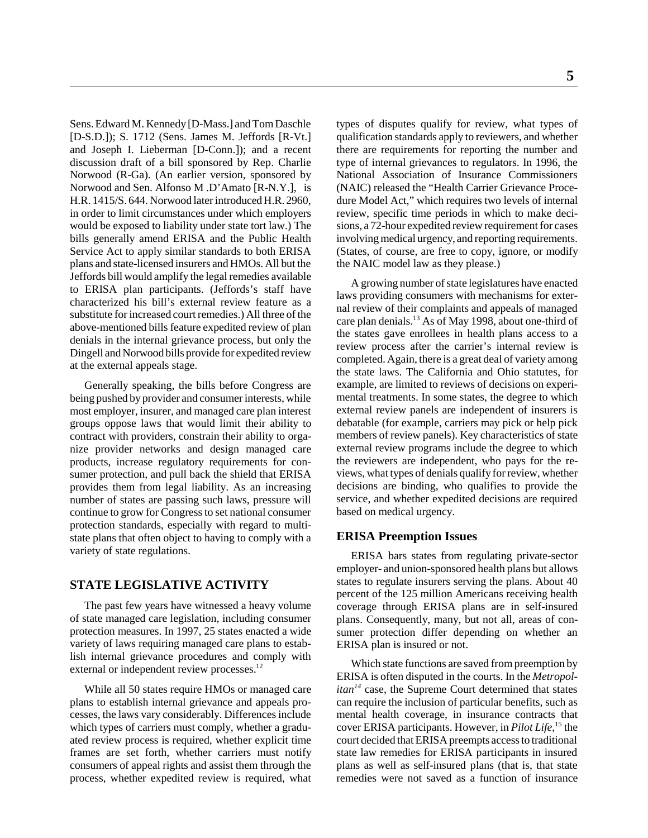Sens. Edward M. Kennedy [D-Mass.] and Tom Daschle [D-S.D.]); S. 1712 (Sens. James M. Jeffords [R-Vt.] and Joseph I. Lieberman [D-Conn.]); and a recent discussion draft of a bill sponsored by Rep. Charlie Norwood (R-Ga). (An earlier version, sponsored by Norwood and Sen. Alfonso M .D'Amato [R-N.Y.], is H.R. 1415/S. 644. Norwood later introduced H.R. 2960, in order to limit circumstances under which employers would be exposed to liability under state tort law.) The bills generally amend ERISA and the Public Health Service Act to apply similar standards to both ERISA plans and state-licensed insurers and HMOs. All but the Jeffords bill would amplify the legal remedies available to ERISA plan participants. (Jeffords's staff have characterized his bill's external review feature as a substitute for increased court remedies.) All three of the above-mentioned bills feature expedited review of plan denials in the internal grievance process, but only the Dingell and Norwood bills provide for expedited review at the external appeals stage.

Generally speaking, the bills before Congress are being pushed by provider and consumer interests, while most employer, insurer, and managed care plan interest groups oppose laws that would limit their ability to contract with providers, constrain their ability to organize provider networks and design managed care products, increase regulatory requirements for consumer protection, and pull back the shield that ERISA provides them from legal liability. As an increasing number of states are passing such laws, pressure will continue to grow for Congress to set national consumer protection standards, especially with regard to multistate plans that often object to having to comply with a variety of state regulations.

#### **STATE LEGISLATIVE ACTIVITY**

The past few years have witnessed a heavy volume of state managed care legislation, including consumer protection measures. In 1997, 25 states enacted a wide variety of laws requiring managed care plans to establish internal grievance procedures and comply with external or independent review processes.<sup>12</sup>

While all 50 states require HMOs or managed care plans to establish internal grievance and appeals processes, the laws vary considerably. Differences include which types of carriers must comply, whether a graduated review process is required, whether explicit time frames are set forth, whether carriers must notify consumers of appeal rights and assist them through the process, whether expedited review is required, what

types of disputes qualify for review, what types of qualification standards apply to reviewers, and whether there are requirements for reporting the number and type of internal grievances to regulators. In 1996, the National Association of Insurance Commissioners (NAIC) released the "Health Carrier Grievance Procedure Model Act," which requires two levels of internal review, specific time periods in which to make decisions, a 72-hour expedited review requirement for cases involving medical urgency, and reporting requirements. (States, of course, are free to copy, ignore, or modify the NAIC model law as they please.)

A growing number of state legislatures have enacted laws providing consumers with mechanisms for external review of their complaints and appeals of managed care plan denials.13 As of May 1998, about one-third of the states gave enrollees in health plans access to a review process after the carrier's internal review is completed. Again, there is a great deal of variety among the state laws. The California and Ohio statutes, for example, are limited to reviews of decisions on experimental treatments. In some states, the degree to which external review panels are independent of insurers is debatable (for example, carriers may pick or help pick members of review panels). Key characteristics of state external review programs include the degree to which the reviewers are independent, who pays for the reviews, what types of denials qualify for review, whether decisions are binding, who qualifies to provide the service, and whether expedited decisions are required based on medical urgency.

#### **ERISA Preemption Issues**

ERISA bars states from regulating private-sector employer- and union-sponsored health plans but allows states to regulate insurers serving the plans. About 40 percent of the 125 million Americans receiving health coverage through ERISA plans are in self-insured plans. Consequently, many, but not all, areas of consumer protection differ depending on whether an ERISA plan is insured or not.

Which state functions are saved from preemption by ERISA is often disputed in the courts. In the *Metropolitan*<sup>14</sup> case, the Supreme Court determined that states can require the inclusion of particular benefits, such as mental health coverage, in insurance contracts that cover ERISA participants. However, in *Pilot Life*, 15 the court decided that ERISA preempts access to traditional state law remedies for ERISA participants in insured plans as well as self-insured plans (that is, that state remedies were not saved as a function of insurance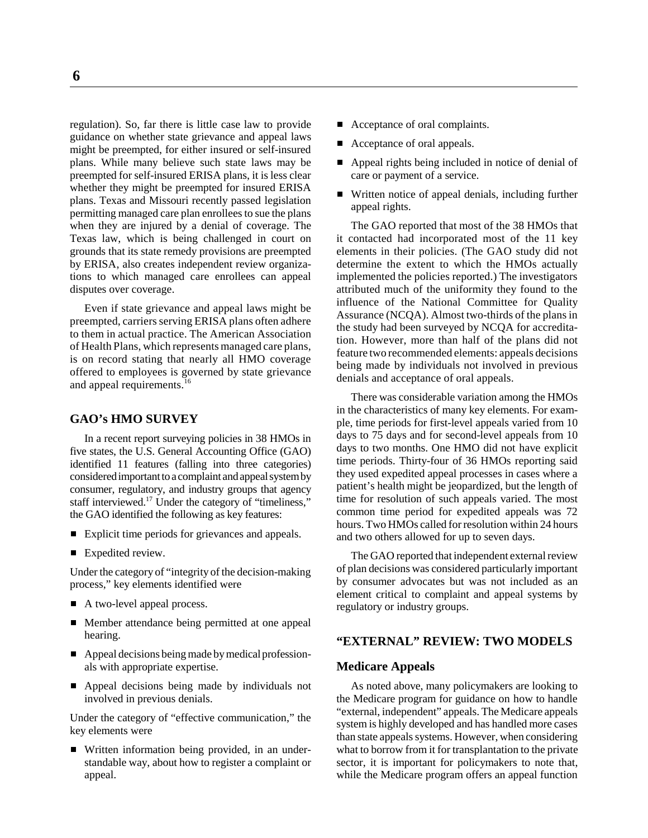regulation). So, far there is little case law to provide guidance on whether state grievance and appeal laws might be preempted, for either insured or self-insured plans. While many believe such state laws may be preempted for self-insured ERISA plans, it is less clear whether they might be preempted for insured ERISA plans. Texas and Missouri recently passed legislation permitting managed care plan enrollees to sue the plans when they are injured by a denial of coverage. The Texas law, which is being challenged in court on grounds that its state remedy provisions are preempted by ERISA, also creates independent review organizations to which managed care enrollees can appeal disputes over coverage.

Even if state grievance and appeal laws might be preempted, carriers serving ERISA plans often adhere to them in actual practice. The American Association of Health Plans, which represents managed care plans, is on record stating that nearly all HMO coverage offered to employees is governed by state grievance and appeal requirements.<sup>16</sup>

#### **GAO's HMO SURVEY**

In a recent report surveying policies in 38 HMOs in five states, the U.S. General Accounting Office (GAO) identified 11 features (falling into three categories) considered important to a complaint and appeal system by consumer, regulatory, and industry groups that agency staff interviewed.<sup>17</sup> Under the category of "timeliness," the GAO identified the following as key features:

- Explicit time periods for grievances and appeals.
- Expedited review.

Under the category of "integrity of the decision-making process," key elements identified were

- A two-level appeal process.
- Member attendance being permitted at one appeal hearing.
- Appeal decisions being made by medical professionals with appropriate expertise.
- Appeal decisions being made by individuals not involved in previous denials.

Under the category of "effective communication," the key elements were

■ Written information being provided, in an understandable way, about how to register a complaint or appeal.

- Acceptance of oral complaints.
- Acceptance of oral appeals.
- Appeal rights being included in notice of denial of care or payment of a service.
- Written notice of appeal denials, including further appeal rights.

The GAO reported that most of the 38 HMOs that it contacted had incorporated most of the 11 key elements in their policies. (The GAO study did not determine the extent to which the HMOs actually implemented the policies reported.) The investigators attributed much of the uniformity they found to the influence of the National Committee for Quality Assurance (NCQA). Almost two-thirds of the plans in the study had been surveyed by NCQA for accreditation. However, more than half of the plans did not feature two recommended elements: appeals decisions being made by individuals not involved in previous denials and acceptance of oral appeals.

There was considerable variation among the HMOs in the characteristics of many key elements. For example, time periods for first-level appeals varied from 10 days to 75 days and for second-level appeals from 10 days to two months. One HMO did not have explicit time periods. Thirty-four of 36 HMOs reporting said they used expedited appeal processes in cases where a patient's health might be jeopardized, but the length of time for resolution of such appeals varied. The most common time period for expedited appeals was 72 hours. Two HMOs called for resolution within 24 hours and two others allowed for up to seven days.

The GAO reported that independent external review of plan decisions was considered particularly important by consumer advocates but was not included as an element critical to complaint and appeal systems by regulatory or industry groups.

#### **"EXTERNAL" REVIEW: TWO MODELS**

#### **Medicare Appeals**

As noted above, many policymakers are looking to the Medicare program for guidance on how to handle "external, independent" appeals. The Medicare appeals system is highly developed and has handled more cases than state appeals systems. However, when considering what to borrow from it for transplantation to the private sector, it is important for policymakers to note that, while the Medicare program offers an appeal function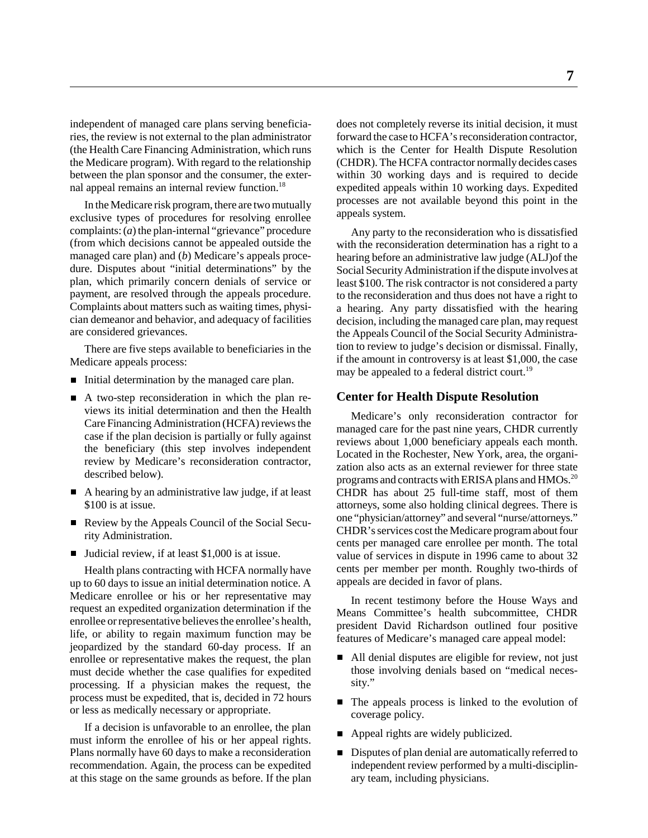independent of managed care plans serving beneficiaries, the review is not external to the plan administrator (the Health Care Financing Administration, which runs the Medicare program). With regard to the relationship between the plan sponsor and the consumer, the external appeal remains an internal review function.<sup>18</sup>

In the Medicare risk program, there are two mutually exclusive types of procedures for resolving enrollee complaints: (*a*) the plan-internal "grievance" procedure (from which decisions cannot be appealed outside the managed care plan) and (*b*) Medicare's appeals procedure. Disputes about "initial determinations" by the plan, which primarily concern denials of service or payment, are resolved through the appeals procedure. Complaints about matters such as waiting times, physician demeanor and behavior, and adequacy of facilities are considered grievances.

There are five steps available to beneficiaries in the Medicare appeals process:

- Initial determination by the managed care plan.
- A two-step reconsideration in which the plan reviews its initial determination and then the Health Care Financing Administration (HCFA) reviews the case if the plan decision is partially or fully against the beneficiary (this step involves independent review by Medicare's reconsideration contractor, described below).
- A hearing by an administrative law judge, if at least \$100 is at issue.
- Review by the Appeals Council of the Social Security Administration.
- **Judicial review, if at least \$1,000 is at issue.**

Health plans contracting with HCFA normally have up to 60 days to issue an initial determination notice. A Medicare enrollee or his or her representative may request an expedited organization determination if the enrollee or representative believes the enrollee's health, life, or ability to regain maximum function may be jeopardized by the standard 60-day process. If an enrollee or representative makes the request, the plan must decide whether the case qualifies for expedited processing. If a physician makes the request, the process must be expedited, that is, decided in 72 hours or less as medically necessary or appropriate.

If a decision is unfavorable to an enrollee, the plan must inform the enrollee of his or her appeal rights. Plans normally have 60 days to make a reconsideration recommendation. Again, the process can be expedited at this stage on the same grounds as before. If the plan does not completely reverse its initial decision, it must forward the case to HCFA's reconsideration contractor, which is the Center for Health Dispute Resolution (CHDR). The HCFA contractor normally decides cases within 30 working days and is required to decide expedited appeals within 10 working days. Expedited processes are not available beyond this point in the appeals system.

Any party to the reconsideration who is dissatisfied with the reconsideration determination has a right to a hearing before an administrative law judge (ALJ)of the Social Security Administration if the dispute involves at least \$100. The risk contractor is not considered a party to the reconsideration and thus does not have a right to a hearing. Any party dissatisfied with the hearing decision, including the managed care plan, may request the Appeals Council of the Social Security Administration to review to judge's decision or dismissal. Finally, if the amount in controversy is at least \$1,000, the case may be appealed to a federal district court.<sup>19</sup>

#### **Center for Health Dispute Resolution**

Medicare's only reconsideration contractor for managed care for the past nine years, CHDR currently reviews about 1,000 beneficiary appeals each month. Located in the Rochester, New York, area, the organization also acts as an external reviewer for three state programs and contracts with ERISA plans and HMOs.<sup>20</sup> CHDR has about 25 full-time staff, most of them attorneys, some also holding clinical degrees. There is one "physician/attorney" and several "nurse/attorneys." CHDR's services cost the Medicare program about four cents per managed care enrollee per month. The total value of services in dispute in 1996 came to about 32 cents per member per month. Roughly two-thirds of appeals are decided in favor of plans.

In recent testimony before the House Ways and Means Committee's health subcommittee, CHDR president David Richardson outlined four positive features of Medicare's managed care appeal model:

- All denial disputes are eligible for review, not just those involving denials based on "medical necessity."
- The appeals process is linked to the evolution of coverage policy.
- Appeal rights are widely publicized.
- Disputes of plan denial are automatically referred to independent review performed by a multi-disciplinary team, including physicians.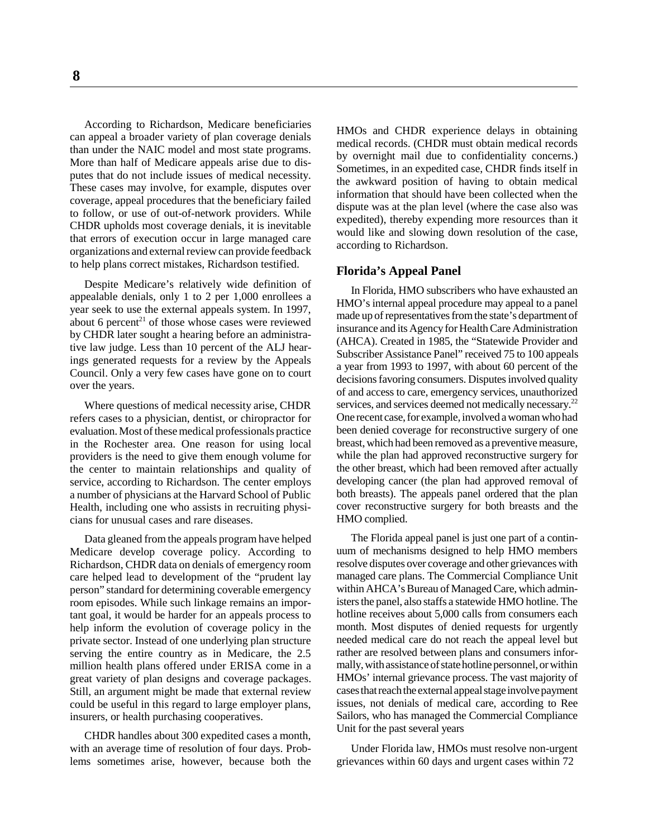**8**

According to Richardson, Medicare beneficiaries can appeal a broader variety of plan coverage denials than under the NAIC model and most state programs. More than half of Medicare appeals arise due to disputes that do not include issues of medical necessity. These cases may involve, for example, disputes over coverage, appeal procedures that the beneficiary failed to follow, or use of out-of-network providers. While CHDR upholds most coverage denials, it is inevitable that errors of execution occur in large managed care organizations and external review can provide feedback to help plans correct mistakes, Richardson testified.

Despite Medicare's relatively wide definition of appealable denials, only 1 to 2 per 1,000 enrollees a year seek to use the external appeals system. In 1997, about 6 percent<sup>21</sup> of those whose cases were reviewed by CHDR later sought a hearing before an administrative law judge. Less than 10 percent of the ALJ hearings generated requests for a review by the Appeals Council. Only a very few cases have gone on to court over the years.

Where questions of medical necessity arise, CHDR refers cases to a physician, dentist, or chiropractor for evaluation. Most of these medical professionals practice in the Rochester area. One reason for using local providers is the need to give them enough volume for the center to maintain relationships and quality of service, according to Richardson. The center employs a number of physicians at the Harvard School of Public Health, including one who assists in recruiting physicians for unusual cases and rare diseases.

Data gleaned from the appeals program have helped Medicare develop coverage policy. According to Richardson, CHDR data on denials of emergency room care helped lead to development of the "prudent lay person" standard for determining coverable emergency room episodes. While such linkage remains an important goal, it would be harder for an appeals process to help inform the evolution of coverage policy in the private sector. Instead of one underlying plan structure serving the entire country as in Medicare, the 2.5 million health plans offered under ERISA come in a great variety of plan designs and coverage packages. Still, an argument might be made that external review could be useful in this regard to large employer plans, insurers, or health purchasing cooperatives.

CHDR handles about 300 expedited cases a month, with an average time of resolution of four days. Problems sometimes arise, however, because both the HMOs and CHDR experience delays in obtaining medical records. (CHDR must obtain medical records by overnight mail due to confidentiality concerns.) Sometimes, in an expedited case, CHDR finds itself in the awkward position of having to obtain medical information that should have been collected when the dispute was at the plan level (where the case also was expedited), thereby expending more resources than it would like and slowing down resolution of the case, according to Richardson.

#### **Florida's Appeal Panel**

In Florida, HMO subscribers who have exhausted an HMO's internal appeal procedure may appeal to a panel made up of representatives from the state's department of insurance and its Agency for Health Care Administration (AHCA). Created in 1985, the "Statewide Provider and Subscriber Assistance Panel" received 75 to 100 appeals a year from 1993 to 1997, with about 60 percent of the decisions favoring consumers. Disputes involved quality of and access to care, emergency services, unauthorized services, and services deemed not medically necessary.<sup>22</sup> One recent case, for example, involved a woman who had been denied coverage for reconstructive surgery of one breast, which had been removed as a preventive measure, while the plan had approved reconstructive surgery for the other breast, which had been removed after actually developing cancer (the plan had approved removal of both breasts). The appeals panel ordered that the plan cover reconstructive surgery for both breasts and the HMO complied.

The Florida appeal panel is just one part of a continuum of mechanisms designed to help HMO members resolve disputes over coverage and other grievances with managed care plans. The Commercial Compliance Unit within AHCA's Bureau of Managed Care, which administers the panel, also staffs a statewide HMO hotline. The hotline receives about 5,000 calls from consumers each month. Most disputes of denied requests for urgently needed medical care do not reach the appeal level but rather are resolved between plans and consumers informally, with assistance of state hotline personnel, or within HMOs' internal grievance process. The vast majority of cases that reach the external appeal stage involve payment issues, not denials of medical care, according to Ree Sailors, who has managed the Commercial Compliance Unit for the past several years

Under Florida law, HMOs must resolve non-urgent grievances within 60 days and urgent cases within 72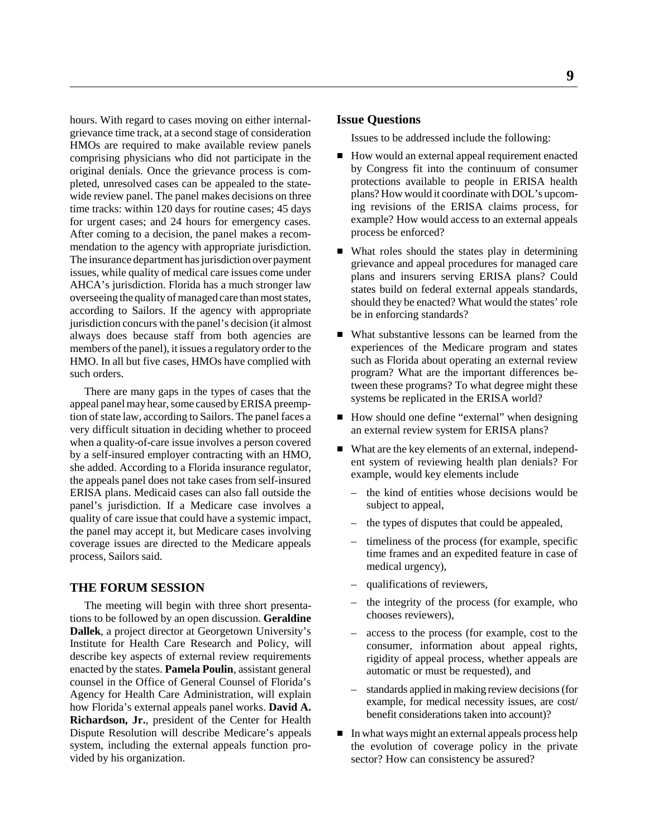hours. With regard to cases moving on either internalgrievance time track, at a second stage of consideration HMOs are required to make available review panels comprising physicians who did not participate in the original denials. Once the grievance process is completed, unresolved cases can be appealed to the statewide review panel. The panel makes decisions on three time tracks: within 120 days for routine cases; 45 days for urgent cases; and 24 hours for emergency cases. After coming to a decision, the panel makes a recommendation to the agency with appropriate jurisdiction. The insurance department has jurisdiction over payment issues, while quality of medical care issues come under AHCA's jurisdiction. Florida has a much stronger law overseeing the quality of managed care than most states, according to Sailors. If the agency with appropriate jurisdiction concurs with the panel's decision (it almost always does because staff from both agencies are members of the panel), it issues a regulatory order to the HMO. In all but five cases, HMOs have complied with such orders.

There are many gaps in the types of cases that the appeal panel may hear, some caused by ERISA preemption of state law, according to Sailors. The panel faces a very difficult situation in deciding whether to proceed when a quality-of-care issue involves a person covered by a self-insured employer contracting with an HMO, she added. According to a Florida insurance regulator, the appeals panel does not take cases from self-insured ERISA plans. Medicaid cases can also fall outside the panel's jurisdiction. If a Medicare case involves a quality of care issue that could have a systemic impact, the panel may accept it, but Medicare cases involving coverage issues are directed to the Medicare appeals process, Sailors said.

#### **THE FORUM SESSION**

The meeting will begin with three short presentations to be followed by an open discussion. **Geraldine Dallek**, a project director at Georgetown University's Institute for Health Care Research and Policy, will describe key aspects of external review requirements enacted by the states. **Pamela Poulin**, assistant general counsel in the Office of General Counsel of Florida's Agency for Health Care Administration, will explain how Florida's external appeals panel works. **David A. Richardson, Jr.**, president of the Center for Health Dispute Resolution will describe Medicare's appeals system, including the external appeals function provided by his organization.

#### **Issue Questions**

Issues to be addressed include the following:

- How would an external appeal requirement enacted by Congress fit into the continuum of consumer protections available to people in ERISA health plans? How would it coordinate with DOL's upcoming revisions of the ERISA claims process, for example? How would access to an external appeals process be enforced?
- What roles should the states play in determining grievance and appeal procedures for managed care plans and insurers serving ERISA plans? Could states build on federal external appeals standards, should they be enacted? What would the states' role be in enforcing standards?
- What substantive lessons can be learned from the experiences of the Medicare program and states such as Florida about operating an external review program? What are the important differences between these programs? To what degree might these systems be replicated in the ERISA world?
- How should one define "external" when designing an external review system for ERISA plans?
- What are the key elements of an external, independent system of reviewing health plan denials? For example, would key elements include
	- the kind of entities whose decisions would be subject to appeal,
	- the types of disputes that could be appealed,
	- timeliness of the process (for example, specific time frames and an expedited feature in case of medical urgency),
	- qualifications of reviewers,
	- the integrity of the process (for example, who chooses reviewers),
	- access to the process (for example, cost to the consumer, information about appeal rights, rigidity of appeal process, whether appeals are automatic or must be requested), and
	- standards applied in making review decisions (for example, for medical necessity issues, are cost/ benefit considerations taken into account)?
- In what ways might an external appeals process help the evolution of coverage policy in the private sector? How can consistency be assured?